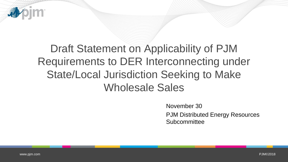

November 30 PJM Distributed Energy Resources **Subcommittee**